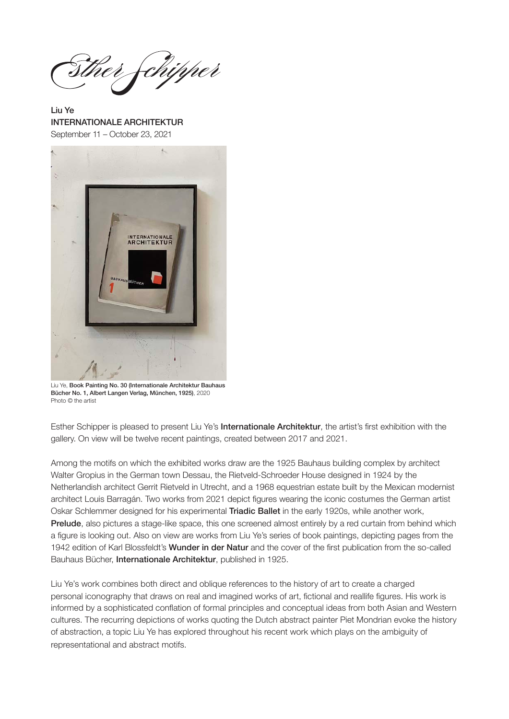ther fchipper

Liu Ye INTERNATIONALE ARCHITEKTUR September 11 – October 23, 2021



Liu Ye, Book Painting No. 30 (Internationale Architektur Bauhaus Bücher No. 1, Albert Langen Verlag, München, 1925), 2020 Photo © the artist

Esther Schipper is pleased to present Liu Ye's Internationale Architektur, the artist's first exhibition with the gallery. On view will be twelve recent paintings, created between 2017 and 2021.

Among the motifs on which the exhibited works draw are the 1925 Bauhaus building complex by architect Walter Gropius in the German town Dessau, the Rietveld-Schroeder House designed in 1924 by the Netherlandish architect Gerrit Rietveld in Utrecht, and a 1968 equestrian estate built by the Mexican modernist architect Louis Barragán. Two works from 2021 depict figures wearing the iconic costumes the German artist Oskar Schlemmer designed for his experimental Triadic Ballet in the early 1920s, while another work, Prelude, also pictures a stage-like space, this one screened almost entirely by a red curtain from behind which a figure is looking out. Also on view are works from Liu Ye's series of book paintings, depicting pages from the 1942 edition of Karl Blossfeldt's Wunder in der Natur and the cover of the first publication from the so-called Bauhaus Bücher, Internationale Architektur, published in 1925.

Liu Ye's work combines both direct and oblique references to the history of art to create a charged personal iconography that draws on real and imagined works of art, fictional and reallife figures. His work is informed by a sophisticated conflation of formal principles and conceptual ideas from both Asian and Western cultures. The recurring depictions of works quoting the Dutch abstract painter Piet Mondrian evoke the history of abstraction, a topic Liu Ye has explored throughout his recent work which plays on the ambiguity of representational and abstract motifs.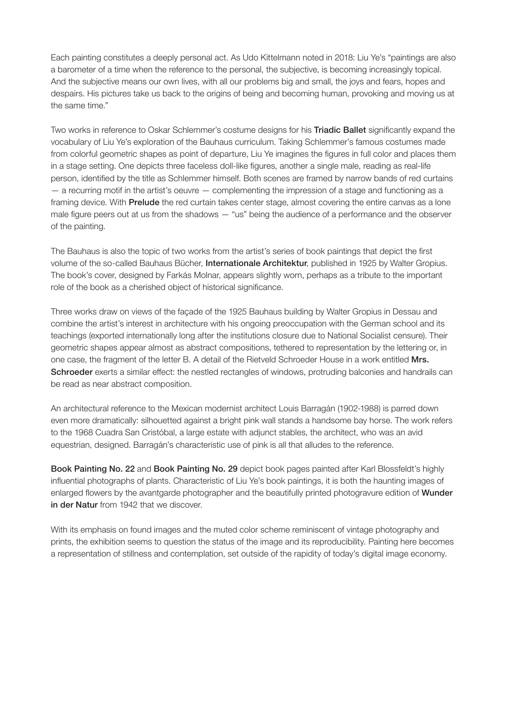Each painting constitutes a deeply personal act. As Udo Kittelmann noted in 2018: Liu Ye's "paintings are also a barometer of a time when the reference to the personal, the subjective, is becoming increasingly topical. And the subjective means our own lives, with all our problems big and small, the joys and fears, hopes and despairs. His pictures take us back to the origins of being and becoming human, provoking and moving us at the same time."

Two works in reference to Oskar Schlemmer's costume designs for his Triadic Ballet significantly expand the vocabulary of Liu Ye's exploration of the Bauhaus curriculum. Taking Schlemmer's famous costumes made from colorful geometric shapes as point of departure, Liu Ye imagines the figures in full color and places them in a stage setting. One depicts three faceless doll-like figures, another a single male, reading as real-life person, identified by the title as Schlemmer himself. Both scenes are framed by narrow bands of red curtains — a recurring motif in the artist's oeuvre — complementing the impression of a stage and functioning as a framing device. With **Prelude** the red curtain takes center stage, almost covering the entire canvas as a lone male figure peers out at us from the shadows  $-$  "us" being the audience of a performance and the observer of the painting.

The Bauhaus is also the topic of two works from the artist's series of book paintings that depict the first volume of the so-called Bauhaus Bücher, Internationale Architektur, published in 1925 by Walter Gropius. The book's cover, designed by Farkás Molnar, appears slightly worn, perhaps as a tribute to the important role of the book as a cherished object of historical significance.

Three works draw on views of the façade of the 1925 Bauhaus building by Walter Gropius in Dessau and combine the artist's interest in architecture with his ongoing preoccupation with the German school and its teachings (exported internationally long after the institutions closure due to National Socialist censure). Their geometric shapes appear almost as abstract compositions, tethered to representation by the lettering or, in one case, the fragment of the letter B. A detail of the Rietveld Schroeder House in a work entitled Mrs. Schroeder exerts a similar effect: the nestled rectangles of windows, protruding balconies and handrails can be read as near abstract composition.

An architectural reference to the Mexican modernist architect Louis Barragán (1902-1988) is parred down even more dramatically: silhouetted against a bright pink wall stands a handsome bay horse. The work refers to the 1968 Cuadra San Cristóbal, a large estate with adjunct stables, the architect, who was an avid equestrian, designed. Barragán's characteristic use of pink is all that alludes to the reference.

Book Painting No. 22 and Book Painting No. 29 depict book pages painted after Karl Blossfeldt's highly influential photographs of plants. Characteristic of Liu Ye's book paintings, it is both the haunting images of enlarged flowers by the avantgarde photographer and the beautifully printed photogravure edition of Wunder in der Natur from 1942 that we discover.

With its emphasis on found images and the muted color scheme reminiscent of vintage photography and prints, the exhibition seems to question the status of the image and its reproducibility. Painting here becomes a representation of stillness and contemplation, set outside of the rapidity of today's digital image economy.